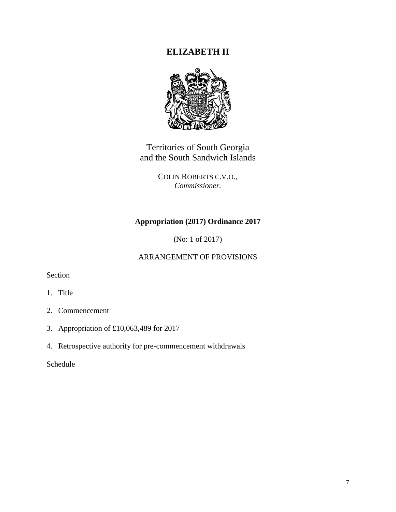# **ELIZABETH II**



Territories of South Georgia and the South Sandwich Islands

> COLIN ROBERTS C.V.O., *Commissioner.*

## **Appropriation (2017) Ordinance 2017**

(No: 1 of 2017)

## ARRANGEMENT OF PROVISIONS

Section

- 1. Title
- 2. Commencement
- 3. Appropriation of £10,063,489 for 2017
- 4. Retrospective authority for pre-commencement withdrawals

Schedule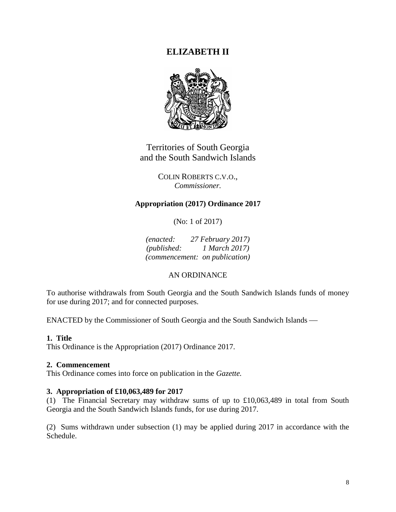# **ELIZABETH II**



Territories of South Georgia and the South Sandwich Islands

> COLIN ROBERTS C.V.O., *Commissioner.*

## **Appropriation (2017) Ordinance 2017**

(No: 1 of 2017)

*(enacted: 27 February 2017) (published: 1 March 2017) (commencement: on publication)*

### AN ORDINANCE

To authorise withdrawals from South Georgia and the South Sandwich Islands funds of money for use during 2017; and for connected purposes.

ENACTED by the Commissioner of South Georgia and the South Sandwich Islands

## **1. Title**

This Ordinance is the Appropriation (2017) Ordinance 2017.

### **2. Commencement**

This Ordinance comes into force on publication in the *Gazette.*

### **3. Appropriation of £10,063,489 for 2017**

(1) The Financial Secretary may withdraw sums of up to £10,063,489 in total from South Georgia and the South Sandwich Islands funds, for use during 2017.

(2) Sums withdrawn under subsection (1) may be applied during 2017 in accordance with the Schedule.